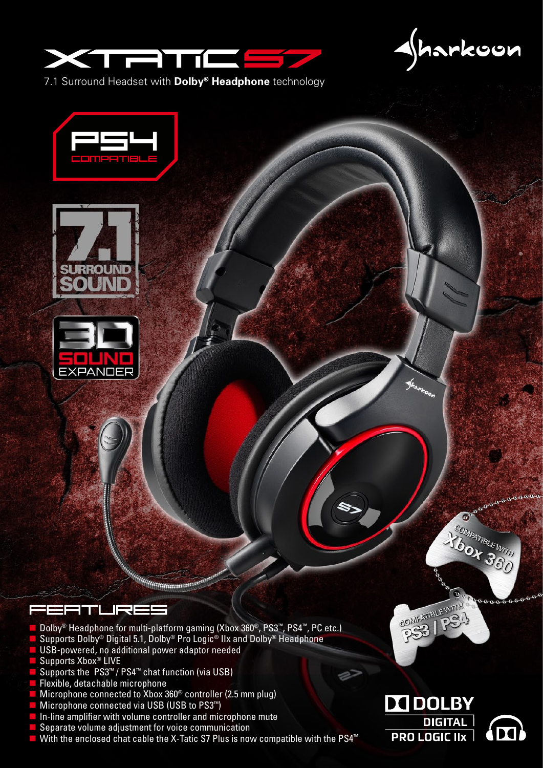

harkoon

7.1 Surround Headset with **Dolby® Headphone** technology







#### FEETURES

- Dolby® Headphone for multi-platform gaming (Xbox 360®, PS3™, PS4™, PC etc.)
- Supports Dolby® Digital 5.1, Dolby® Pro Logic® IIx and Dolby® Headphone

- USB-powered, no additional power adaptor needed
- Supports Xbox<sup>®</sup> LIVE
- Supports the PS3<sup>™</sup> / PS4<sup>™</sup> chat function (via USB)
- **Flexible, detachable microphone**
- $\blacksquare$  Microphone connected to Xbox 360<sup>®</sup> controller (2.5 mm plug)
- Microphone connected via USB (USB to PS3<sup>™</sup>)
- In-line amplifier with volume controller and microphone mute
- Separate volume adjustment for voice communication
- With the enclosed chat cable the X-Tatic S7 Plus is now compatible with the PS4<sup>™</sup>



**PRO LOGIC IIX** 

COMPATIBLE WITH

P



666666

**ROMPATIBLE WITH** 

 $\sigma$